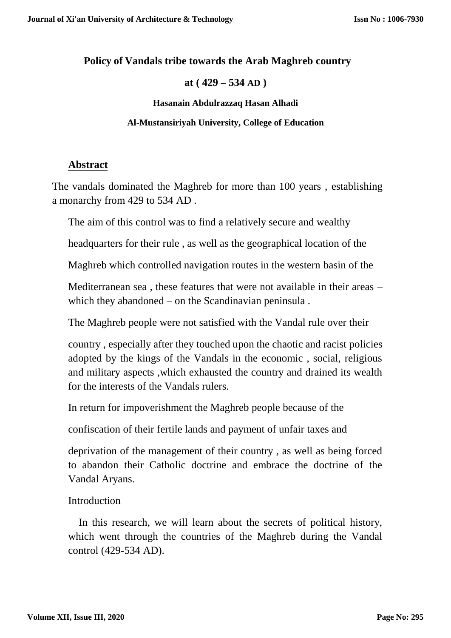## **Policy of Vandals tribe towards the Arab Maghreb country**

### **at ( 429 – 534 AD )**

#### **Hasanain Abdulrazzaq Hasan Alhadi**

### **Al-Mustansiriyah University, College of Education**

# **Abstract**

The vandals dominated the Maghreb for more than 100 years , establishing a monarchy from 429 to 534 AD .

The aim of this control was to find a relatively secure and wealthy

headquarters for their rule , as well as the geographical location of the

Maghreb which controlled navigation routes in the western basin of the

Mediterranean sea , these features that were not available in their areas – which they abandoned – on the Scandinavian peninsula .

The Maghreb people were not satisfied with the Vandal rule over their

country , especially after they touched upon the chaotic and racist policies adopted by the kings of the Vandals in the economic , social, religious and military aspects ,which exhausted the country and drained its wealth for the interests of the Vandals rulers.

In return for impoverishment the Maghreb people because of the

confiscation of their fertile lands and payment of unfair taxes and

deprivation of the management of their country , as well as being forced to abandon their Catholic doctrine and embrace the doctrine of the Vandal Aryans.

# **Introduction**

 In this research, we will learn about the secrets of political history, which went through the countries of the Maghreb during the Vandal control (429-534 AD).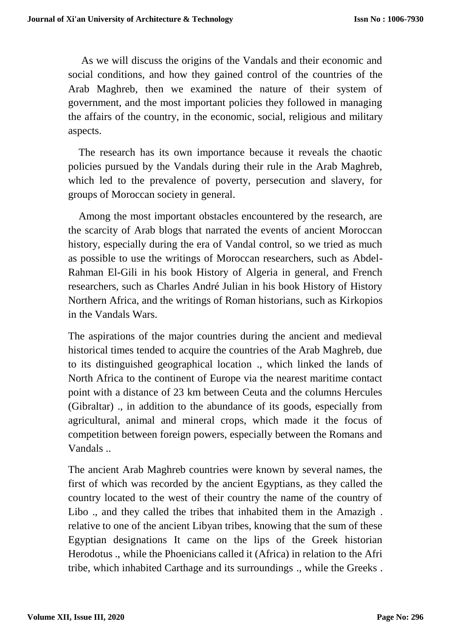As we will discuss the origins of the Vandals and their economic and social conditions, and how they gained control of the countries of the Arab Maghreb, then we examined the nature of their system of government, and the most important policies they followed in managing the affairs of the country, in the economic, social, religious and military aspects.

 The research has its own importance because it reveals the chaotic policies pursued by the Vandals during their rule in the Arab Maghreb, which led to the prevalence of poverty, persecution and slavery, for groups of Moroccan society in general.

 Among the most important obstacles encountered by the research, are the scarcity of Arab blogs that narrated the events of ancient Moroccan history, especially during the era of Vandal control, so we tried as much as possible to use the writings of Moroccan researchers, such as Abdel-Rahman El-Gili in his book History of Algeria in general, and French researchers, such as Charles André Julian in his book History of History Northern Africa, and the writings of Roman historians, such as Kirkopios in the Vandals Wars.

The aspirations of the major countries during the ancient and medieval historical times tended to acquire the countries of the Arab Maghreb, due to its distinguished geographical location ., which linked the lands of North Africa to the continent of Europe via the nearest maritime contact point with a distance of 23 km between Ceuta and the columns Hercules (Gibraltar) ., in addition to the abundance of its goods, especially from agricultural, animal and mineral crops, which made it the focus of competition between foreign powers, especially between the Romans and Vandals ..

The ancient Arab Maghreb countries were known by several names, the first of which was recorded by the ancient Egyptians, as they called the country located to the west of their country the name of the country of Libo ., and they called the tribes that inhabited them in the Amazigh . relative to one of the ancient Libyan tribes, knowing that the sum of these Egyptian designations It came on the lips of the Greek historian Herodotus ., while the Phoenicians called it (Africa) in relation to the Afri tribe, which inhabited Carthage and its surroundings ., while the Greeks .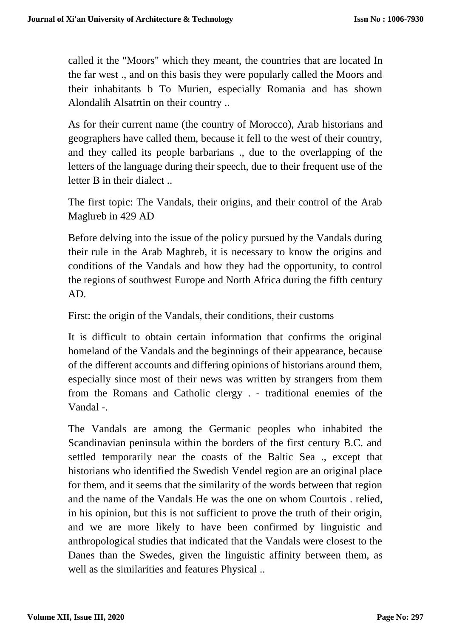called it the "Moors" which they meant, the countries that are located In the far west ., and on this basis they were popularly called the Moors and their inhabitants b To Murien, especially Romania and has shown Alondalih Alsatrtin on their country ..

As for their current name (the country of Morocco), Arab historians and geographers have called them, because it fell to the west of their country, and they called its people barbarians ., due to the overlapping of the letters of the language during their speech, due to their frequent use of the letter B in their dialect ..

The first topic: The Vandals, their origins, and their control of the Arab Maghreb in 429 AD

Before delving into the issue of the policy pursued by the Vandals during their rule in the Arab Maghreb, it is necessary to know the origins and conditions of the Vandals and how they had the opportunity, to control the regions of southwest Europe and North Africa during the fifth century AD.

First: the origin of the Vandals, their conditions, their customs

It is difficult to obtain certain information that confirms the original homeland of the Vandals and the beginnings of their appearance, because of the different accounts and differing opinions of historians around them, especially since most of their news was written by strangers from them from the Romans and Catholic clergy . - traditional enemies of the Vandal -.

The Vandals are among the Germanic peoples who inhabited the Scandinavian peninsula within the borders of the first century B.C. and settled temporarily near the coasts of the Baltic Sea ., except that historians who identified the Swedish Vendel region are an original place for them, and it seems that the similarity of the words between that region and the name of the Vandals He was the one on whom Courtois . relied, in his opinion, but this is not sufficient to prove the truth of their origin, and we are more likely to have been confirmed by linguistic and anthropological studies that indicated that the Vandals were closest to the Danes than the Swedes, given the linguistic affinity between them, as well as the similarities and features Physical ..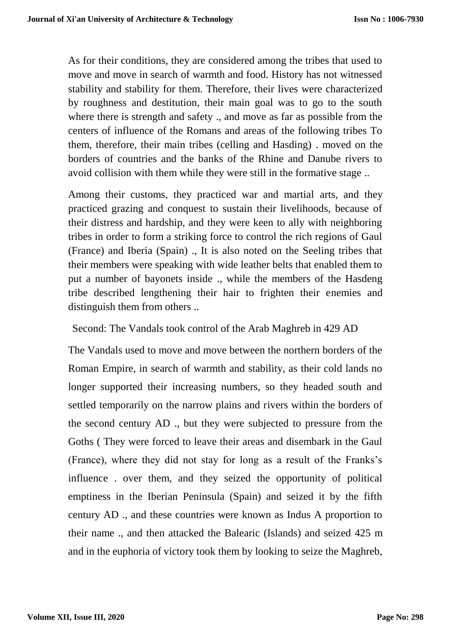As for their conditions, they are considered among the tribes that used to move and move in search of warmth and food. History has not witnessed stability and stability for them. Therefore, their lives were characterized by roughness and destitution, their main goal was to go to the south where there is strength and safety ., and move as far as possible from the centers of influence of the Romans and areas of the following tribes To them, therefore, their main tribes (celling and Hasding) . moved on the borders of countries and the banks of the Rhine and Danube rivers to avoid collision with them while they were still in the formative stage ..

Among their customs, they practiced war and martial arts, and they practiced grazing and conquest to sustain their livelihoods, because of their distress and hardship, and they were keen to ally with neighboring tribes in order to form a striking force to control the rich regions of Gaul (France) and Iberia (Spain) ., It is also noted on the Seeling tribes that their members were speaking with wide leather belts that enabled them to put a number of bayonets inside ., while the members of the Hasdeng tribe described lengthening their hair to frighten their enemies and distinguish them from others ..

Second: The Vandals took control of the Arab Maghreb in 429 AD

The Vandals used to move and move between the northern borders of the Roman Empire, in search of warmth and stability, as their cold lands no longer supported their increasing numbers, so they headed south and settled temporarily on the narrow plains and rivers within the borders of the second century AD ., but they were subjected to pressure from the Goths ( They were forced to leave their areas and disembark in the Gaul (France), where they did not stay for long as a result of the Franks's influence . over them, and they seized the opportunity of political emptiness in the Iberian Peninsula (Spain) and seized it by the fifth century AD ., and these countries were known as Indus A proportion to their name ., and then attacked the Balearic (Islands) and seized 425 m and in the euphoria of victory took them by looking to seize the Maghreb,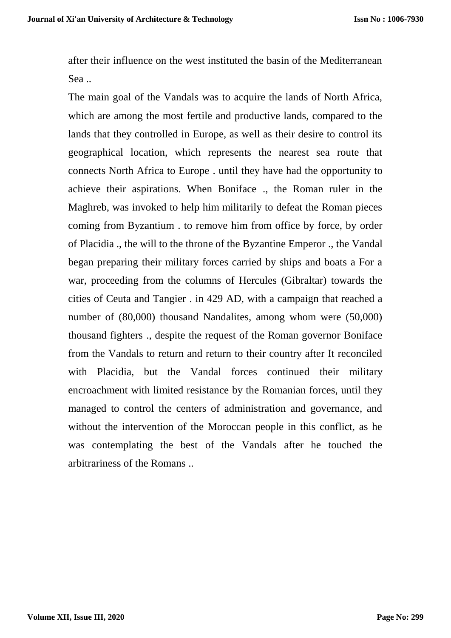after their influence on the west instituted the basin of the Mediterranean Sea ..

The main goal of the Vandals was to acquire the lands of North Africa, which are among the most fertile and productive lands, compared to the lands that they controlled in Europe, as well as their desire to control its geographical location, which represents the nearest sea route that connects North Africa to Europe . until they have had the opportunity to achieve their aspirations. When Boniface ., the Roman ruler in the Maghreb, was invoked to help him militarily to defeat the Roman pieces coming from Byzantium . to remove him from office by force, by order of Placidia ., the will to the throne of the Byzantine Emperor ., the Vandal began preparing their military forces carried by ships and boats a For a war, proceeding from the columns of Hercules (Gibraltar) towards the cities of Ceuta and Tangier . in 429 AD, with a campaign that reached a number of (80,000) thousand Nandalites, among whom were (50,000) thousand fighters ., despite the request of the Roman governor Boniface from the Vandals to return and return to their country after It reconciled with Placidia, but the Vandal forces continued their military encroachment with limited resistance by the Romanian forces, until they managed to control the centers of administration and governance, and without the intervention of the Moroccan people in this conflict, as he was contemplating the best of the Vandals after he touched the arbitrariness of the Romans ..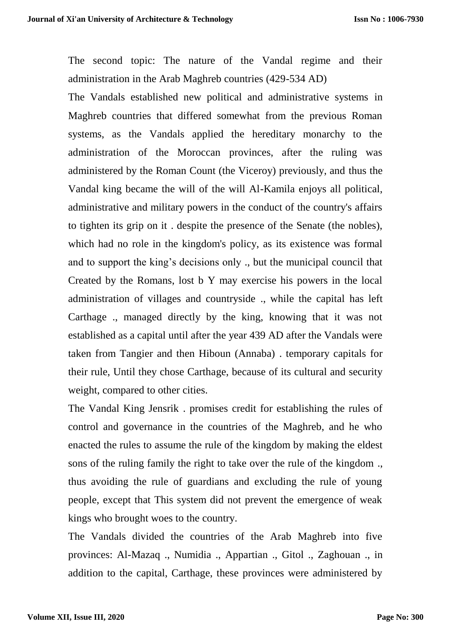The second topic: The nature of the Vandal regime and their administration in the Arab Maghreb countries (429-534 AD)

The Vandals established new political and administrative systems in Maghreb countries that differed somewhat from the previous Roman systems, as the Vandals applied the hereditary monarchy to the administration of the Moroccan provinces, after the ruling was administered by the Roman Count (the Viceroy) previously, and thus the Vandal king became the will of the will Al-Kamila enjoys all political, administrative and military powers in the conduct of the country's affairs to tighten its grip on it . despite the presence of the Senate (the nobles), which had no role in the kingdom's policy, as its existence was formal and to support the king's decisions only ., but the municipal council that Created by the Romans, lost b Y may exercise his powers in the local administration of villages and countryside ., while the capital has left Carthage ., managed directly by the king, knowing that it was not established as a capital until after the year 439 AD after the Vandals were taken from Tangier and then Hiboun (Annaba) . temporary capitals for their rule, Until they chose Carthage, because of its cultural and security weight, compared to other cities.

The Vandal King Jensrik . promises credit for establishing the rules of control and governance in the countries of the Maghreb, and he who enacted the rules to assume the rule of the kingdom by making the eldest sons of the ruling family the right to take over the rule of the kingdom ., thus avoiding the rule of guardians and excluding the rule of young people, except that This system did not prevent the emergence of weak kings who brought woes to the country.

The Vandals divided the countries of the Arab Maghreb into five provinces: Al-Mazaq ., Numidia ., Appartian ., Gitol ., Zaghouan ., in addition to the capital, Carthage, these provinces were administered by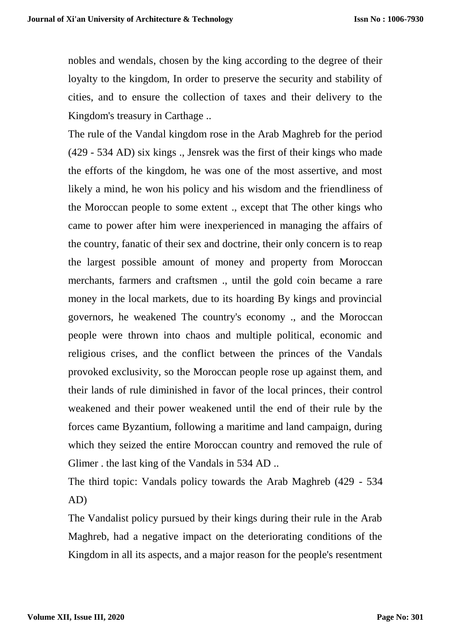nobles and wendals, chosen by the king according to the degree of their loyalty to the kingdom, In order to preserve the security and stability of cities, and to ensure the collection of taxes and their delivery to the Kingdom's treasury in Carthage ..

The rule of the Vandal kingdom rose in the Arab Maghreb for the period (429 - 534 AD) six kings ., Jensrek was the first of their kings who made the efforts of the kingdom, he was one of the most assertive, and most likely a mind, he won his policy and his wisdom and the friendliness of the Moroccan people to some extent ., except that The other kings who came to power after him were inexperienced in managing the affairs of the country, fanatic of their sex and doctrine, their only concern is to reap the largest possible amount of money and property from Moroccan merchants, farmers and craftsmen ., until the gold coin became a rare money in the local markets, due to its hoarding By kings and provincial governors, he weakened The country's economy ., and the Moroccan people were thrown into chaos and multiple political, economic and religious crises, and the conflict between the princes of the Vandals provoked exclusivity, so the Moroccan people rose up against them, and their lands of rule diminished in favor of the local princes, their control weakened and their power weakened until the end of their rule by the forces came Byzantium, following a maritime and land campaign, during which they seized the entire Moroccan country and removed the rule of Glimer . the last king of the Vandals in 534 AD ..

The third topic: Vandals policy towards the Arab Maghreb (429 - 534 AD)

The Vandalist policy pursued by their kings during their rule in the Arab Maghreb, had a negative impact on the deteriorating conditions of the Kingdom in all its aspects, and a major reason for the people's resentment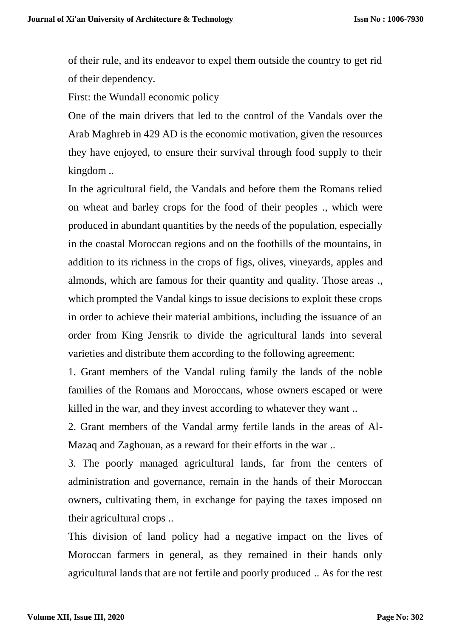of their rule, and its endeavor to expel them outside the country to get rid of their dependency.

First: the Wundall economic policy

One of the main drivers that led to the control of the Vandals over the Arab Maghreb in 429 AD is the economic motivation, given the resources they have enjoyed, to ensure their survival through food supply to their kingdom ..

In the agricultural field, the Vandals and before them the Romans relied on wheat and barley crops for the food of their peoples ., which were produced in abundant quantities by the needs of the population, especially in the coastal Moroccan regions and on the foothills of the mountains, in addition to its richness in the crops of figs, olives, vineyards, apples and almonds, which are famous for their quantity and quality. Those areas ., which prompted the Vandal kings to issue decisions to exploit these crops in order to achieve their material ambitions, including the issuance of an order from King Jensrik to divide the agricultural lands into several varieties and distribute them according to the following agreement:

1. Grant members of the Vandal ruling family the lands of the noble families of the Romans and Moroccans, whose owners escaped or were killed in the war, and they invest according to whatever they want ..

2. Grant members of the Vandal army fertile lands in the areas of Al-Mazaq and Zaghouan, as a reward for their efforts in the war ..

3. The poorly managed agricultural lands, far from the centers of administration and governance, remain in the hands of their Moroccan owners, cultivating them, in exchange for paying the taxes imposed on their agricultural crops ..

This division of land policy had a negative impact on the lives of Moroccan farmers in general, as they remained in their hands only agricultural lands that are not fertile and poorly produced .. As for the rest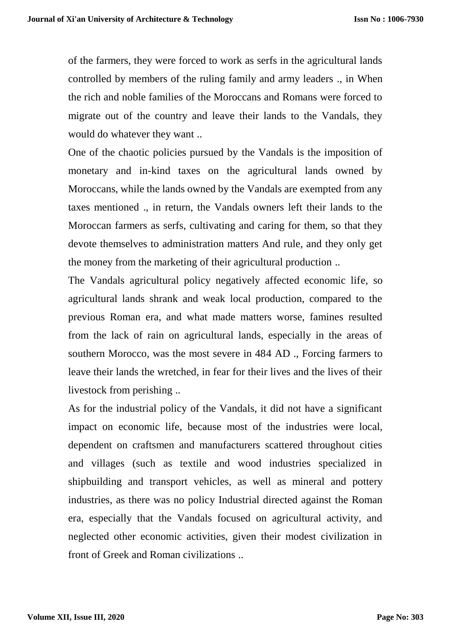of the farmers, they were forced to work as serfs in the agricultural lands controlled by members of the ruling family and army leaders ., in When the rich and noble families of the Moroccans and Romans were forced to migrate out of the country and leave their lands to the Vandals, they would do whatever they want ..

One of the chaotic policies pursued by the Vandals is the imposition of monetary and in-kind taxes on the agricultural lands owned by Moroccans, while the lands owned by the Vandals are exempted from any taxes mentioned ., in return, the Vandals owners left their lands to the Moroccan farmers as serfs, cultivating and caring for them, so that they devote themselves to administration matters And rule, and they only get the money from the marketing of their agricultural production ..

The Vandals agricultural policy negatively affected economic life, so agricultural lands shrank and weak local production, compared to the previous Roman era, and what made matters worse, famines resulted from the lack of rain on agricultural lands, especially in the areas of southern Morocco, was the most severe in 484 AD ., Forcing farmers to leave their lands the wretched, in fear for their lives and the lives of their livestock from perishing ..

As for the industrial policy of the Vandals, it did not have a significant impact on economic life, because most of the industries were local, dependent on craftsmen and manufacturers scattered throughout cities and villages (such as textile and wood industries specialized in shipbuilding and transport vehicles, as well as mineral and pottery industries, as there was no policy Industrial directed against the Roman era, especially that the Vandals focused on agricultural activity, and neglected other economic activities, given their modest civilization in front of Greek and Roman civilizations ..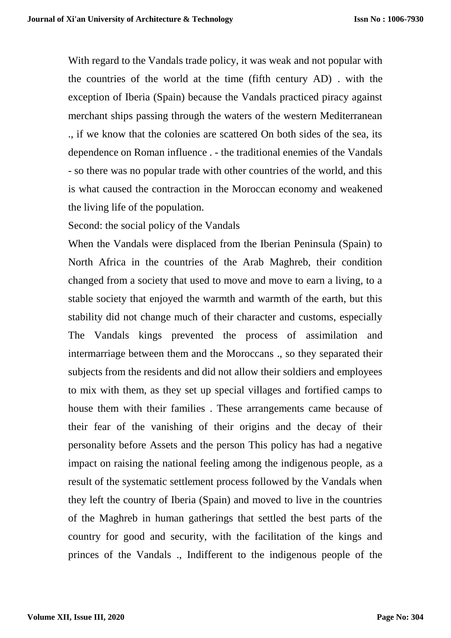With regard to the Vandals trade policy, it was weak and not popular with the countries of the world at the time (fifth century AD) . with the exception of Iberia (Spain) because the Vandals practiced piracy against merchant ships passing through the waters of the western Mediterranean ., if we know that the colonies are scattered On both sides of the sea, its dependence on Roman influence . - the traditional enemies of the Vandals - so there was no popular trade with other countries of the world, and this is what caused the contraction in the Moroccan economy and weakened the living life of the population.

Second: the social policy of the Vandals

When the Vandals were displaced from the Iberian Peninsula (Spain) to North Africa in the countries of the Arab Maghreb, their condition changed from a society that used to move and move to earn a living, to a stable society that enjoyed the warmth and warmth of the earth, but this stability did not change much of their character and customs, especially The Vandals kings prevented the process of assimilation and intermarriage between them and the Moroccans ., so they separated their subjects from the residents and did not allow their soldiers and employees to mix with them, as they set up special villages and fortified camps to house them with their families . These arrangements came because of their fear of the vanishing of their origins and the decay of their personality before Assets and the person This policy has had a negative impact on raising the national feeling among the indigenous people, as a result of the systematic settlement process followed by the Vandals when they left the country of Iberia (Spain) and moved to live in the countries of the Maghreb in human gatherings that settled the best parts of the country for good and security, with the facilitation of the kings and princes of the Vandals ., Indifferent to the indigenous people of the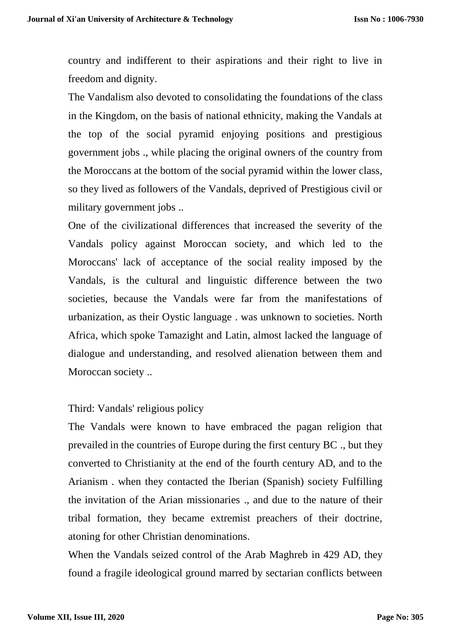country and indifferent to their aspirations and their right to live in freedom and dignity.

The Vandalism also devoted to consolidating the foundations of the class in the Kingdom, on the basis of national ethnicity, making the Vandals at the top of the social pyramid enjoying positions and prestigious government jobs ., while placing the original owners of the country from the Moroccans at the bottom of the social pyramid within the lower class, so they lived as followers of the Vandals, deprived of Prestigious civil or military government jobs ..

One of the civilizational differences that increased the severity of the Vandals policy against Moroccan society, and which led to the Moroccans' lack of acceptance of the social reality imposed by the Vandals, is the cultural and linguistic difference between the two societies, because the Vandals were far from the manifestations of urbanization, as their Oystic language . was unknown to societies. North Africa, which spoke Tamazight and Latin, almost lacked the language of dialogue and understanding, and resolved alienation between them and Moroccan society ..

## Third: Vandals' religious policy

The Vandals were known to have embraced the pagan religion that prevailed in the countries of Europe during the first century BC ., but they converted to Christianity at the end of the fourth century AD, and to the Arianism . when they contacted the Iberian (Spanish) society Fulfilling the invitation of the Arian missionaries ., and due to the nature of their tribal formation, they became extremist preachers of their doctrine, atoning for other Christian denominations.

When the Vandals seized control of the Arab Maghreb in 429 AD, they found a fragile ideological ground marred by sectarian conflicts between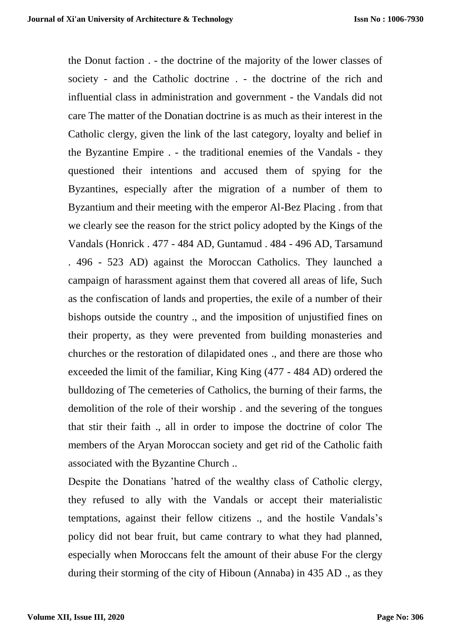the Donut faction . - the doctrine of the majority of the lower classes of society - and the Catholic doctrine . - the doctrine of the rich and influential class in administration and government - the Vandals did not care The matter of the Donatian doctrine is as much as their interest in the Catholic clergy, given the link of the last category, loyalty and belief in the Byzantine Empire . - the traditional enemies of the Vandals - they questioned their intentions and accused them of spying for the Byzantines, especially after the migration of a number of them to Byzantium and their meeting with the emperor Al-Bez Placing . from that we clearly see the reason for the strict policy adopted by the Kings of the Vandals (Honrick . 477 - 484 AD, Guntamud . 484 - 496 AD, Tarsamund . 496 - 523 AD) against the Moroccan Catholics. They launched a campaign of harassment against them that covered all areas of life, Such as the confiscation of lands and properties, the exile of a number of their bishops outside the country ., and the imposition of unjustified fines on their property, as they were prevented from building monasteries and churches or the restoration of dilapidated ones ., and there are those who exceeded the limit of the familiar, King King (477 - 484 AD) ordered the bulldozing of The cemeteries of Catholics, the burning of their farms, the demolition of the role of their worship . and the severing of the tongues that stir their faith ., all in order to impose the doctrine of color The members of the Aryan Moroccan society and get rid of the Catholic faith associated with the Byzantine Church ..

Despite the Donatians 'hatred of the wealthy class of Catholic clergy, they refused to ally with the Vandals or accept their materialistic temptations, against their fellow citizens ., and the hostile Vandals's policy did not bear fruit, but came contrary to what they had planned, especially when Moroccans felt the amount of their abuse For the clergy during their storming of the city of Hiboun (Annaba) in 435 AD ., as they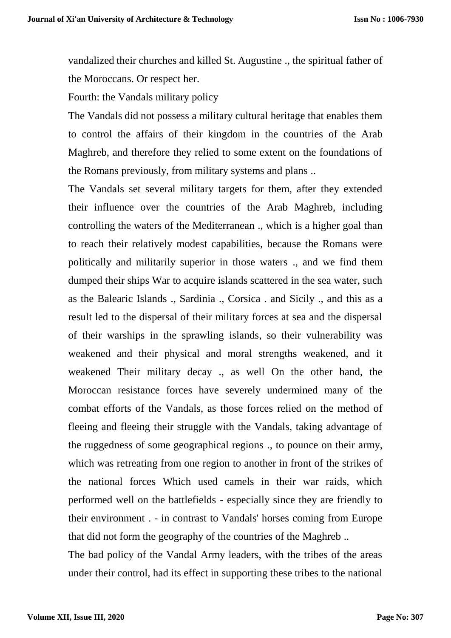vandalized their churches and killed St. Augustine ., the spiritual father of the Moroccans. Or respect her.

Fourth: the Vandals military policy

The Vandals did not possess a military cultural heritage that enables them to control the affairs of their kingdom in the countries of the Arab Maghreb, and therefore they relied to some extent on the foundations of the Romans previously, from military systems and plans ..

The Vandals set several military targets for them, after they extended their influence over the countries of the Arab Maghreb, including controlling the waters of the Mediterranean ., which is a higher goal than to reach their relatively modest capabilities, because the Romans were politically and militarily superior in those waters ., and we find them dumped their ships War to acquire islands scattered in the sea water, such as the Balearic Islands ., Sardinia ., Corsica . and Sicily ., and this as a result led to the dispersal of their military forces at sea and the dispersal of their warships in the sprawling islands, so their vulnerability was weakened and their physical and moral strengths weakened, and it weakened Their military decay ., as well On the other hand, the Moroccan resistance forces have severely undermined many of the combat efforts of the Vandals, as those forces relied on the method of fleeing and fleeing their struggle with the Vandals, taking advantage of the ruggedness of some geographical regions ., to pounce on their army, which was retreating from one region to another in front of the strikes of the national forces Which used camels in their war raids, which performed well on the battlefields - especially since they are friendly to their environment . - in contrast to Vandals' horses coming from Europe that did not form the geography of the countries of the Maghreb ..

The bad policy of the Vandal Army leaders, with the tribes of the areas under their control, had its effect in supporting these tribes to the national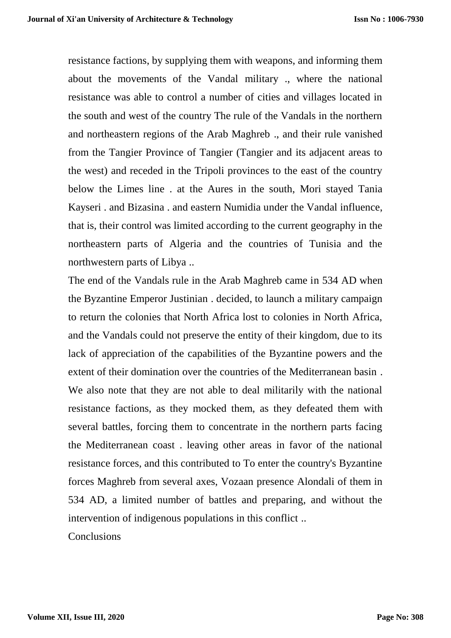resistance factions, by supplying them with weapons, and informing them about the movements of the Vandal military ., where the national resistance was able to control a number of cities and villages located in the south and west of the country The rule of the Vandals in the northern and northeastern regions of the Arab Maghreb ., and their rule vanished from the Tangier Province of Tangier (Tangier and its adjacent areas to the west) and receded in the Tripoli provinces to the east of the country below the Limes line . at the Aures in the south, Mori stayed Tania Kayseri . and Bizasina . and eastern Numidia under the Vandal influence, that is, their control was limited according to the current geography in the northeastern parts of Algeria and the countries of Tunisia and the northwestern parts of Libya ..

The end of the Vandals rule in the Arab Maghreb came in 534 AD when the Byzantine Emperor Justinian . decided, to launch a military campaign to return the colonies that North Africa lost to colonies in North Africa, and the Vandals could not preserve the entity of their kingdom, due to its lack of appreciation of the capabilities of the Byzantine powers and the extent of their domination over the countries of the Mediterranean basin . We also note that they are not able to deal militarily with the national resistance factions, as they mocked them, as they defeated them with several battles, forcing them to concentrate in the northern parts facing the Mediterranean coast . leaving other areas in favor of the national resistance forces, and this contributed to To enter the country's Byzantine forces Maghreb from several axes, Vozaan presence Alondali of them in 534 AD, a limited number of battles and preparing, and without the intervention of indigenous populations in this conflict ..

**Conclusions**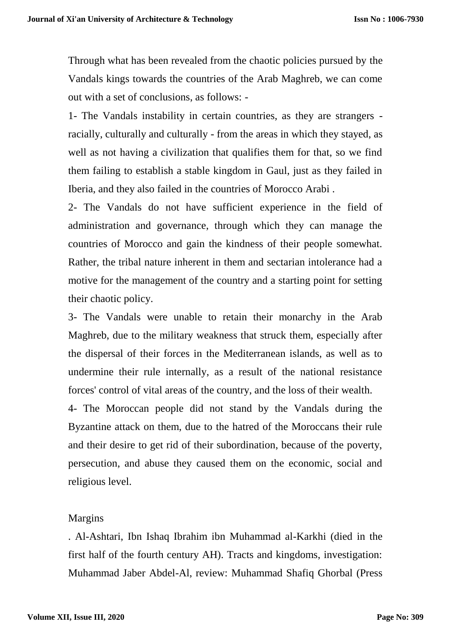Through what has been revealed from the chaotic policies pursued by the Vandals kings towards the countries of the Arab Maghreb, we can come out with a set of conclusions, as follows: -

1- The Vandals instability in certain countries, as they are strangers racially, culturally and culturally - from the areas in which they stayed, as well as not having a civilization that qualifies them for that, so we find them failing to establish a stable kingdom in Gaul, just as they failed in Iberia, and they also failed in the countries of Morocco Arabi .

2- The Vandals do not have sufficient experience in the field of administration and governance, through which they can manage the countries of Morocco and gain the kindness of their people somewhat. Rather, the tribal nature inherent in them and sectarian intolerance had a motive for the management of the country and a starting point for setting their chaotic policy.

3- The Vandals were unable to retain their monarchy in the Arab Maghreb, due to the military weakness that struck them, especially after the dispersal of their forces in the Mediterranean islands, as well as to undermine their rule internally, as a result of the national resistance forces' control of vital areas of the country, and the loss of their wealth.

4- The Moroccan people did not stand by the Vandals during the Byzantine attack on them, due to the hatred of the Moroccans their rule and their desire to get rid of their subordination, because of the poverty, persecution, and abuse they caused them on the economic, social and religious level.

## Margins

. Al-Ashtari, Ibn Ishaq Ibrahim ibn Muhammad al-Karkhi (died in the first half of the fourth century AH). Tracts and kingdoms, investigation: Muhammad Jaber Abdel-Al, review: Muhammad Shafiq Ghorbal (Press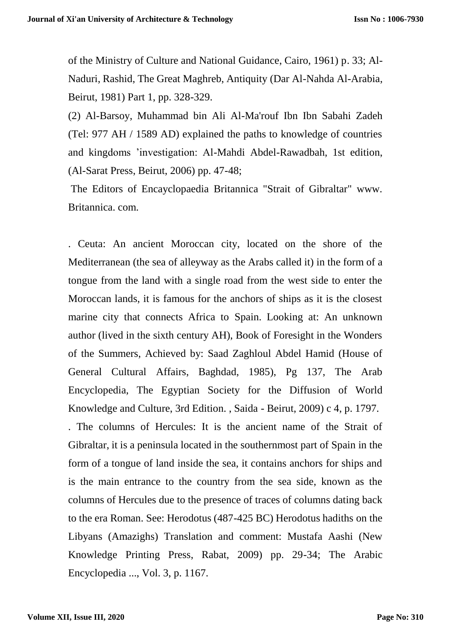of the Ministry of Culture and National Guidance, Cairo, 1961) p. 33; Al-Naduri, Rashid, The Great Maghreb, Antiquity (Dar Al-Nahda Al-Arabia, Beirut, 1981) Part 1, pp. 328-329.

(2) Al-Barsoy, Muhammad bin Ali Al-Ma'rouf Ibn Ibn Sabahi Zadeh (Tel: 977 AH / 1589 AD) explained the paths to knowledge of countries and kingdoms 'investigation: Al-Mahdi Abdel-Rawadbah, 1st edition, (Al-Sarat Press, Beirut, 2006) pp. 47-48;

The Editors of Encayclopaedia Britannica "Strait of Gibraltar" www. Britannica. com.

. Ceuta: An ancient Moroccan city, located on the shore of the Mediterranean (the sea of alleyway as the Arabs called it) in the form of a tongue from the land with a single road from the west side to enter the Moroccan lands, it is famous for the anchors of ships as it is the closest marine city that connects Africa to Spain. Looking at: An unknown author (lived in the sixth century AH), Book of Foresight in the Wonders of the Summers, Achieved by: Saad Zaghloul Abdel Hamid (House of General Cultural Affairs, Baghdad, 1985), Pg 137, The Arab Encyclopedia, The Egyptian Society for the Diffusion of World Knowledge and Culture, 3rd Edition. , Saida - Beirut, 2009) c 4, p. 1797. . The columns of Hercules: It is the ancient name of the Strait of Gibraltar, it is a peninsula located in the southernmost part of Spain in the form of a tongue of land inside the sea, it contains anchors for ships and is the main entrance to the country from the sea side, known as the columns of Hercules due to the presence of traces of columns dating back to the era Roman. See: Herodotus (487-425 BC) Herodotus hadiths on the Libyans (Amazighs) Translation and comment: Mustafa Aashi (New Knowledge Printing Press, Rabat, 2009) pp. 29-34; The Arabic Encyclopedia ..., Vol. 3, p. 1167.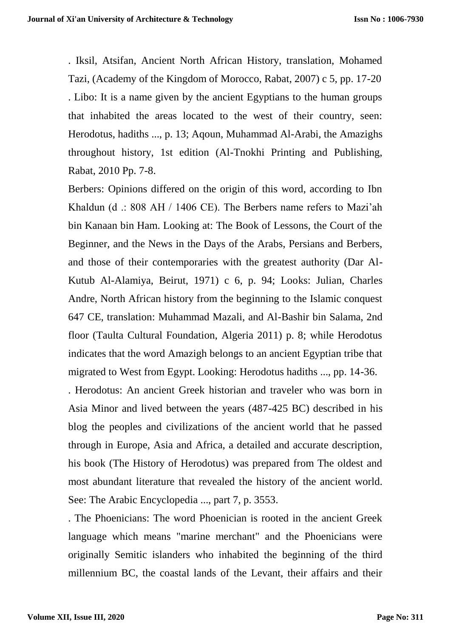. Iksil, Atsifan, Ancient North African History, translation, Mohamed Tazi, (Academy of the Kingdom of Morocco, Rabat, 2007) c 5, pp. 17-20 . Libo: It is a name given by the ancient Egyptians to the human groups that inhabited the areas located to the west of their country, seen: Herodotus, hadiths ..., p. 13; Aqoun, Muhammad Al-Arabi, the Amazighs throughout history, 1st edition (Al-Tnokhi Printing and Publishing, Rabat, 2010 Pp. 7-8.

Berbers: Opinions differed on the origin of this word, according to Ibn Khaldun (d .: 808 AH / 1406 CE). The Berbers name refers to Mazi'ah bin Kanaan bin Ham. Looking at: The Book of Lessons, the Court of the Beginner, and the News in the Days of the Arabs, Persians and Berbers, and those of their contemporaries with the greatest authority (Dar Al-Kutub Al-Alamiya, Beirut, 1971) c 6, p. 94; Looks: Julian, Charles Andre, North African history from the beginning to the Islamic conquest 647 CE, translation: Muhammad Mazali, and Al-Bashir bin Salama, 2nd floor (Taulta Cultural Foundation, Algeria 2011) p. 8; while Herodotus indicates that the word Amazigh belongs to an ancient Egyptian tribe that migrated to West from Egypt. Looking: Herodotus hadiths ..., pp. 14-36.

. Herodotus: An ancient Greek historian and traveler who was born in Asia Minor and lived between the years (487-425 BC) described in his blog the peoples and civilizations of the ancient world that he passed through in Europe, Asia and Africa, a detailed and accurate description, his book (The History of Herodotus) was prepared from The oldest and most abundant literature that revealed the history of the ancient world. See: The Arabic Encyclopedia ..., part 7, p. 3553.

. The Phoenicians: The word Phoenician is rooted in the ancient Greek language which means "marine merchant" and the Phoenicians were originally Semitic islanders who inhabited the beginning of the third millennium BC, the coastal lands of the Levant, their affairs and their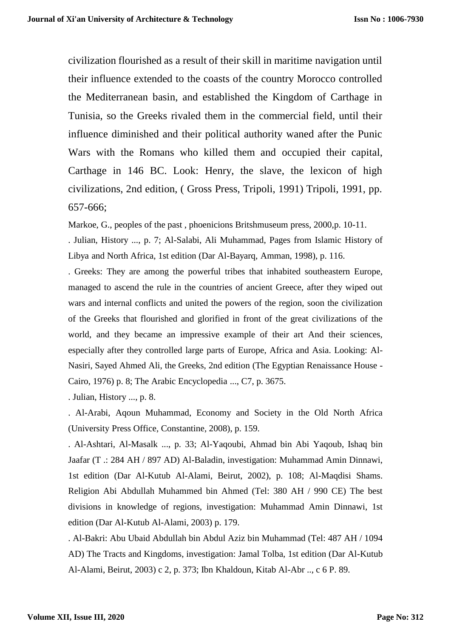civilization flourished as a result of their skill in maritime navigation until their influence extended to the coasts of the country Morocco controlled the Mediterranean basin, and established the Kingdom of Carthage in Tunisia, so the Greeks rivaled them in the commercial field, until their influence diminished and their political authority waned after the Punic Wars with the Romans who killed them and occupied their capital, Carthage in 146 BC. Look: Henry, the slave, the lexicon of high civilizations, 2nd edition, ( Gross Press, Tripoli, 1991) Tripoli, 1991, pp. 657-666;

Markoe, G., peoples of the past , phoenicions Britshmuseum press, 2000,p. 10-11.

. Julian, History ..., p. 7; Al-Salabi, Ali Muhammad, Pages from Islamic History of Libya and North Africa, 1st edition (Dar Al-Bayarq, Amman, 1998), p. 116.

. Greeks: They are among the powerful tribes that inhabited southeastern Europe, managed to ascend the rule in the countries of ancient Greece, after they wiped out wars and internal conflicts and united the powers of the region, soon the civilization of the Greeks that flourished and glorified in front of the great civilizations of the world, and they became an impressive example of their art And their sciences, especially after they controlled large parts of Europe, Africa and Asia. Looking: Al-Nasiri, Sayed Ahmed Ali, the Greeks, 2nd edition (The Egyptian Renaissance House - Cairo, 1976) p. 8; The Arabic Encyclopedia ..., C7, p. 3675.

. Julian, History ..., p. 8.

. Al-Arabi, Aqoun Muhammad, Economy and Society in the Old North Africa (University Press Office, Constantine, 2008), p. 159.

. Al-Ashtari, Al-Masalk ..., p. 33; Al-Yaqoubi, Ahmad bin Abi Yaqoub, Ishaq bin Jaafar (T .: 284 AH / 897 AD) Al-Baladin, investigation: Muhammad Amin Dinnawi, 1st edition (Dar Al-Kutub Al-Alami, Beirut, 2002), p. 108; Al-Maqdisi Shams. Religion Abi Abdullah Muhammed bin Ahmed (Tel: 380 AH / 990 CE) The best divisions in knowledge of regions, investigation: Muhammad Amin Dinnawi, 1st edition (Dar Al-Kutub Al-Alami, 2003) p. 179.

. Al-Bakri: Abu Ubaid Abdullah bin Abdul Aziz bin Muhammad (Tel: 487 AH / 1094 AD) The Tracts and Kingdoms, investigation: Jamal Tolba, 1st edition (Dar Al-Kutub Al-Alami, Beirut, 2003) c 2, p. 373; Ibn Khaldoun, Kitab Al-Abr .., c 6 P. 89.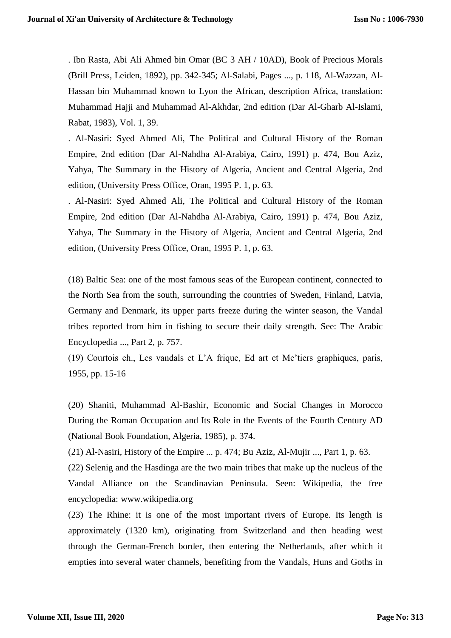. Ibn Rasta, Abi Ali Ahmed bin Omar (BC 3 AH / 10AD), Book of Precious Morals (Brill Press, Leiden, 1892), pp. 342-345; Al-Salabi, Pages ..., p. 118, Al-Wazzan, Al-Hassan bin Muhammad known to Lyon the African, description Africa, translation: Muhammad Hajji and Muhammad Al-Akhdar, 2nd edition (Dar Al-Gharb Al-Islami, Rabat, 1983), Vol. 1, 39.

. Al-Nasiri: Syed Ahmed Ali, The Political and Cultural History of the Roman Empire, 2nd edition (Dar Al-Nahdha Al-Arabiya, Cairo, 1991) p. 474, Bou Aziz, Yahya, The Summary in the History of Algeria, Ancient and Central Algeria, 2nd edition, (University Press Office, Oran, 1995 P. 1, p. 63.

. Al-Nasiri: Syed Ahmed Ali, The Political and Cultural History of the Roman Empire, 2nd edition (Dar Al-Nahdha Al-Arabiya, Cairo, 1991) p. 474, Bou Aziz, Yahya, The Summary in the History of Algeria, Ancient and Central Algeria, 2nd edition, (University Press Office, Oran, 1995 P. 1, p. 63.

(18) Baltic Sea: one of the most famous seas of the European continent, connected to the North Sea from the south, surrounding the countries of Sweden, Finland, Latvia, Germany and Denmark, its upper parts freeze during the winter season, the Vandal tribes reported from him in fishing to secure their daily strength. See: The Arabic Encyclopedia ..., Part 2, p. 757.

(19) Courtois ch., Les vandals et L'A frique, Ed art et Me'tiers graphiques, paris, 1955, pp. 15-16

(20) Shaniti, Muhammad Al-Bashir, Economic and Social Changes in Morocco During the Roman Occupation and Its Role in the Events of the Fourth Century AD (National Book Foundation, Algeria, 1985), p. 374.

(21) Al-Nasiri, History of the Empire ... p. 474; Bu Aziz, Al-Mujir ..., Part 1, p. 63.

(22) Selenig and the Hasdinga are the two main tribes that make up the nucleus of the Vandal Alliance on the Scandinavian Peninsula. Seen: Wikipedia, the free encyclopedia: www.wikipedia.org

(23) The Rhine: it is one of the most important rivers of Europe. Its length is approximately (1320 km), originating from Switzerland and then heading west through the German-French border, then entering the Netherlands, after which it empties into several water channels, benefiting from the Vandals, Huns and Goths in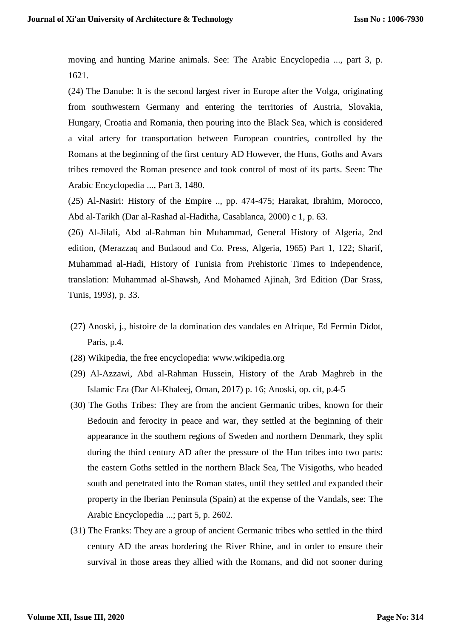moving and hunting Marine animals. See: The Arabic Encyclopedia ..., part 3, p. 1621.

(24) The Danube: It is the second largest river in Europe after the Volga, originating from southwestern Germany and entering the territories of Austria, Slovakia, Hungary, Croatia and Romania, then pouring into the Black Sea, which is considered a vital artery for transportation between European countries, controlled by the Romans at the beginning of the first century AD However, the Huns, Goths and Avars tribes removed the Roman presence and took control of most of its parts. Seen: The Arabic Encyclopedia ..., Part 3, 1480.

(25) Al-Nasiri: History of the Empire .., pp. 474-475; Harakat, Ibrahim, Morocco, Abd al-Tarikh (Dar al-Rashad al-Haditha, Casablanca, 2000) c 1, p. 63.

(26) Al-Jilali, Abd al-Rahman bin Muhammad, General History of Algeria, 2nd edition, (Merazzaq and Budaoud and Co. Press, Algeria, 1965) Part 1, 122; Sharif, Muhammad al-Hadi, History of Tunisia from Prehistoric Times to Independence, translation: Muhammad al-Shawsh, And Mohamed Ajinah, 3rd Edition (Dar Srass, Tunis, 1993), p. 33.

- (27) Anoski, j., histoire de la domination des vandales en Afrique, Ed Fermin Didot, Paris, p.4.
- (28) Wikipedia, the free encyclopedia: www.wikipedia.org
- (29) Al-Azzawi, Abd al-Rahman Hussein, History of the Arab Maghreb in the Islamic Era (Dar Al-Khaleej, Oman, 2017) p. 16; Anoski, op. cit, p.4-5
- (30) The Goths Tribes: They are from the ancient Germanic tribes, known for their Bedouin and ferocity in peace and war, they settled at the beginning of their appearance in the southern regions of Sweden and northern Denmark, they split during the third century AD after the pressure of the Hun tribes into two parts: the eastern Goths settled in the northern Black Sea, The Visigoths, who headed south and penetrated into the Roman states, until they settled and expanded their property in the Iberian Peninsula (Spain) at the expense of the Vandals, see: The Arabic Encyclopedia ...; part 5, p. 2602.
- (31) The Franks: They are a group of ancient Germanic tribes who settled in the third century AD the areas bordering the River Rhine, and in order to ensure their survival in those areas they allied with the Romans, and did not sooner during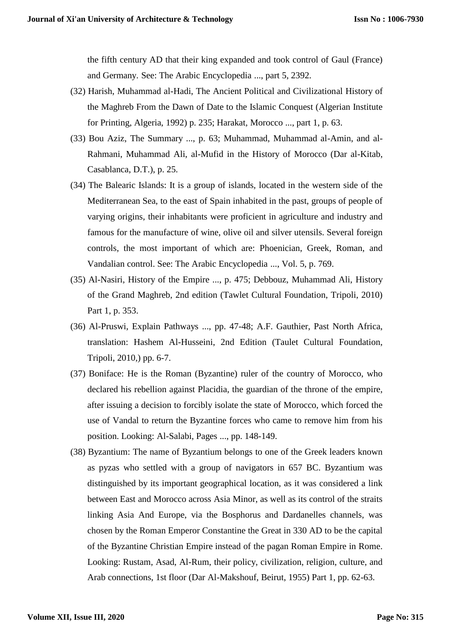the fifth century AD that their king expanded and took control of Gaul (France) and Germany. See: The Arabic Encyclopedia ..., part 5, 2392.

- (32) Harish, Muhammad al-Hadi, The Ancient Political and Civilizational History of the Maghreb From the Dawn of Date to the Islamic Conquest (Algerian Institute for Printing, Algeria, 1992) p. 235; Harakat, Morocco ..., part 1, p. 63.
- (33) Bou Aziz, The Summary ..., p. 63; Muhammad, Muhammad al-Amin, and al-Rahmani, Muhammad Ali, al-Mufid in the History of Morocco (Dar al-Kitab, Casablanca, D.T.), p. 25.
- (34) The Balearic Islands: It is a group of islands, located in the western side of the Mediterranean Sea, to the east of Spain inhabited in the past, groups of people of varying origins, their inhabitants were proficient in agriculture and industry and famous for the manufacture of wine, olive oil and silver utensils. Several foreign controls, the most important of which are: Phoenician, Greek, Roman, and Vandalian control. See: The Arabic Encyclopedia ..., Vol. 5, p. 769.
- (35) Al-Nasiri, History of the Empire ..., p. 475; Debbouz, Muhammad Ali, History of the Grand Maghreb, 2nd edition (Tawlet Cultural Foundation, Tripoli, 2010) Part 1, p. 353.
- (36) Al-Pruswi, Explain Pathways ..., pp. 47-48; A.F. Gauthier, Past North Africa, translation: Hashem Al-Husseini, 2nd Edition (Taulet Cultural Foundation, Tripoli, 2010,) pp. 6-7.
- (37) Boniface: He is the Roman (Byzantine) ruler of the country of Morocco, who declared his rebellion against Placidia, the guardian of the throne of the empire, after issuing a decision to forcibly isolate the state of Morocco, which forced the use of Vandal to return the Byzantine forces who came to remove him from his position. Looking: Al-Salabi, Pages ..., pp. 148-149.
- (38) Byzantium: The name of Byzantium belongs to one of the Greek leaders known as pyzas who settled with a group of navigators in 657 BC. Byzantium was distinguished by its important geographical location, as it was considered a link between East and Morocco across Asia Minor, as well as its control of the straits linking Asia And Europe, via the Bosphorus and Dardanelles channels, was chosen by the Roman Emperor Constantine the Great in 330 AD to be the capital of the Byzantine Christian Empire instead of the pagan Roman Empire in Rome. Looking: Rustam, Asad, Al-Rum, their policy, civilization, religion, culture, and Arab connections, 1st floor (Dar Al-Makshouf, Beirut, 1955) Part 1, pp. 62-63.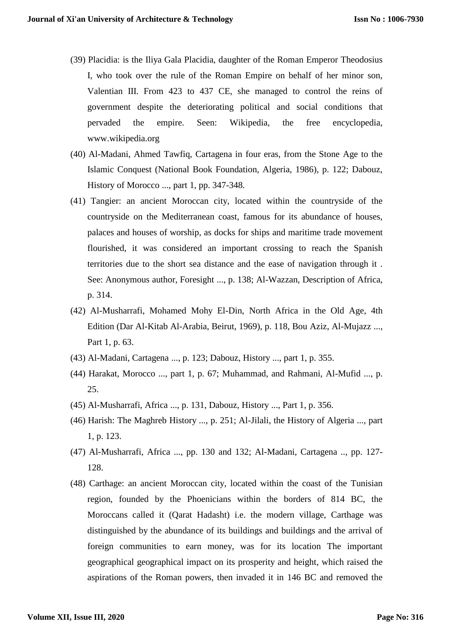- (39) Placidia: is the Iliya Gala Placidia, daughter of the Roman Emperor Theodosius I, who took over the rule of the Roman Empire on behalf of her minor son, Valentian III. From 423 to 437 CE, she managed to control the reins of government despite the deteriorating political and social conditions that pervaded the empire. Seen: Wikipedia, the free encyclopedia, www.wikipedia.org
- (40) Al-Madani, Ahmed Tawfiq, Cartagena in four eras, from the Stone Age to the Islamic Conquest (National Book Foundation, Algeria, 1986), p. 122; Dabouz, History of Morocco ..., part 1, pp. 347-348.
- (41) Tangier: an ancient Moroccan city, located within the countryside of the countryside on the Mediterranean coast, famous for its abundance of houses, palaces and houses of worship, as docks for ships and maritime trade movement flourished, it was considered an important crossing to reach the Spanish territories due to the short sea distance and the ease of navigation through it . See: Anonymous author, Foresight ..., p. 138; Al-Wazzan, Description of Africa, p. 314.
- (42) Al-Musharrafi, Mohamed Mohy El-Din, North Africa in the Old Age, 4th Edition (Dar Al-Kitab Al-Arabia, Beirut, 1969), p. 118, Bou Aziz, Al-Mujazz ..., Part 1, p. 63.
- (43) Al-Madani, Cartagena ..., p. 123; Dabouz, History ..., part 1, p. 355.
- (44) Harakat, Morocco ..., part 1, p. 67; Muhammad, and Rahmani, Al-Mufid ..., p. 25.
- (45) Al-Musharrafi, Africa ..., p. 131, Dabouz, History ..., Part 1, p. 356.
- (46) Harish: The Maghreb History ..., p. 251; Al-Jilali, the History of Algeria ..., part 1, p. 123.
- (47) Al-Musharrafi, Africa ..., pp. 130 and 132; Al-Madani, Cartagena .., pp. 127- 128.
- (48) Carthage: an ancient Moroccan city, located within the coast of the Tunisian region, founded by the Phoenicians within the borders of 814 BC, the Moroccans called it (Qarat Hadasht) i.e. the modern village, Carthage was distinguished by the abundance of its buildings and buildings and the arrival of foreign communities to earn money, was for its location The important geographical geographical impact on its prosperity and height, which raised the aspirations of the Roman powers, then invaded it in 146 BC and removed the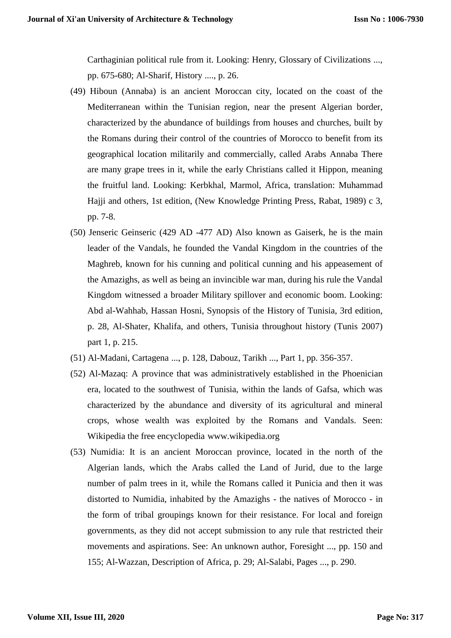Carthaginian political rule from it. Looking: Henry, Glossary of Civilizations ..., pp. 675-680; Al-Sharif, History ...., p. 26.

- (49) Hiboun (Annaba) is an ancient Moroccan city, located on the coast of the Mediterranean within the Tunisian region, near the present Algerian border, characterized by the abundance of buildings from houses and churches, built by the Romans during their control of the countries of Morocco to benefit from its geographical location militarily and commercially, called Arabs Annaba There are many grape trees in it, while the early Christians called it Hippon, meaning the fruitful land. Looking: Kerbkhal, Marmol, Africa, translation: Muhammad Hajji and others, 1st edition, (New Knowledge Printing Press, Rabat, 1989) c 3, pp. 7-8.
- (50) Jenseric Geinseric (429 AD -477 AD) Also known as Gaiserk, he is the main leader of the Vandals, he founded the Vandal Kingdom in the countries of the Maghreb, known for his cunning and political cunning and his appeasement of the Amazighs, as well as being an invincible war man, during his rule the Vandal Kingdom witnessed a broader Military spillover and economic boom. Looking: Abd al-Wahhab, Hassan Hosni, Synopsis of the History of Tunisia, 3rd edition, p. 28, Al-Shater, Khalifa, and others, Tunisia throughout history (Tunis 2007) part 1, p. 215.
- (51) Al-Madani, Cartagena ..., p. 128, Dabouz, Tarikh ..., Part 1, pp. 356-357.
- (52) Al-Mazaq: A province that was administratively established in the Phoenician era, located to the southwest of Tunisia, within the lands of Gafsa, which was characterized by the abundance and diversity of its agricultural and mineral crops, whose wealth was exploited by the Romans and Vandals. Seen: Wikipedia the free encyclopedia www.wikipedia.org
- (53) Numidia: It is an ancient Moroccan province, located in the north of the Algerian lands, which the Arabs called the Land of Jurid, due to the large number of palm trees in it, while the Romans called it Punicia and then it was distorted to Numidia, inhabited by the Amazighs - the natives of Morocco - in the form of tribal groupings known for their resistance. For local and foreign governments, as they did not accept submission to any rule that restricted their movements and aspirations. See: An unknown author, Foresight ..., pp. 150 and 155; Al-Wazzan, Description of Africa, p. 29; Al-Salabi, Pages ..., p. 290.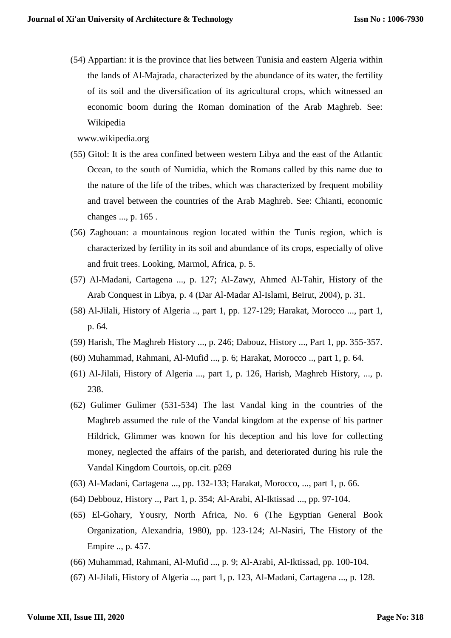(54) Appartian: it is the province that lies between Tunisia and eastern Algeria within the lands of Al-Majrada, characterized by the abundance of its water, the fertility of its soil and the diversification of its agricultural crops, which witnessed an economic boom during the Roman domination of the Arab Maghreb. See: Wikipedia

www.wikipedia.org

- (55) Gitol: It is the area confined between western Libya and the east of the Atlantic Ocean, to the south of Numidia, which the Romans called by this name due to the nature of the life of the tribes, which was characterized by frequent mobility and travel between the countries of the Arab Maghreb. See: Chianti, economic changes ..., p. 165 .
- (56) Zaghouan: a mountainous region located within the Tunis region, which is characterized by fertility in its soil and abundance of its crops, especially of olive and fruit trees. Looking, Marmol, Africa, p. 5.
- (57) Al-Madani, Cartagena ..., p. 127; Al-Zawy, Ahmed Al-Tahir, History of the Arab Conquest in Libya, p. 4 (Dar Al-Madar Al-Islami, Beirut, 2004), p. 31.
- (58) Al-Jilali, History of Algeria .., part 1, pp. 127-129; Harakat, Morocco ..., part 1, p. 64.
- (59) Harish, The Maghreb History ..., p. 246; Dabouz, History ..., Part 1, pp. 355-357.
- (60) Muhammad, Rahmani, Al-Mufid ..., p. 6; Harakat, Morocco .., part 1, p. 64.
- (61) Al-Jilali, History of Algeria ..., part 1, p. 126, Harish, Maghreb History, ..., p. 238.
- (62) Gulimer Gulimer (531-534) The last Vandal king in the countries of the Maghreb assumed the rule of the Vandal kingdom at the expense of his partner Hildrick, Glimmer was known for his deception and his love for collecting money, neglected the affairs of the parish, and deteriorated during his rule the Vandal Kingdom Courtois, op.cit. p269
- (63) Al-Madani, Cartagena ..., pp. 132-133; Harakat, Morocco, ..., part 1, p. 66.
- (64) Debbouz, History .., Part 1, p. 354; Al-Arabi, Al-Iktissad ..., pp. 97-104.
- (65) El-Gohary, Yousry, North Africa, No. 6 (The Egyptian General Book Organization, Alexandria, 1980), pp. 123-124; Al-Nasiri, The History of the Empire .., p. 457.
- (66) Muhammad, Rahmani, Al-Mufid ..., p. 9; Al-Arabi, Al-Iktissad, pp. 100-104.
- (67) Al-Jilali, History of Algeria ..., part 1, p. 123, Al-Madani, Cartagena ..., p. 128.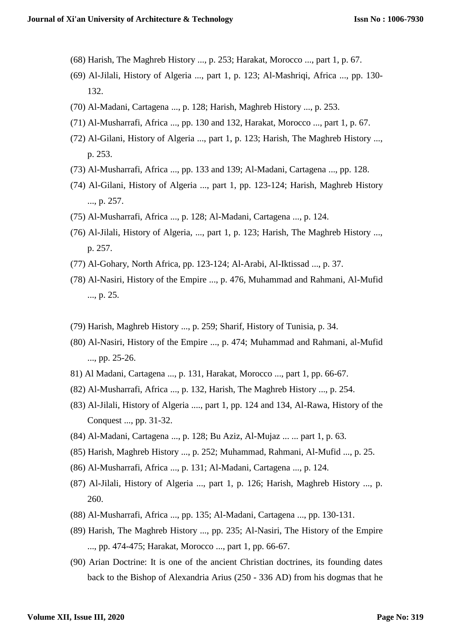- (68) Harish, The Maghreb History ..., p. 253; Harakat, Morocco ..., part 1, p. 67.
- (69) Al-Jilali, History of Algeria ..., part 1, p. 123; Al-Mashriqi, Africa ..., pp. 130- 132.
- (70) Al-Madani, Cartagena ..., p. 128; Harish, Maghreb History ..., p. 253.
- (71) Al-Musharrafi, Africa ..., pp. 130 and 132, Harakat, Morocco ..., part 1, p. 67.
- (72) Al-Gilani, History of Algeria ..., part 1, p. 123; Harish, The Maghreb History ..., p. 253.
- (73) Al-Musharrafi, Africa ..., pp. 133 and 139; Al-Madani, Cartagena ..., pp. 128.
- (74) Al-Gilani, History of Algeria ..., part 1, pp. 123-124; Harish, Maghreb History ..., p. 257.
- (75) Al-Musharrafi, Africa ..., p. 128; Al-Madani, Cartagena ..., p. 124.
- (76) Al-Jilali, History of Algeria, ..., part 1, p. 123; Harish, The Maghreb History ..., p. 257.
- (77) Al-Gohary, North Africa, pp. 123-124; Al-Arabi, Al-Iktissad ..., p. 37.
- (78) Al-Nasiri, History of the Empire ..., p. 476, Muhammad and Rahmani, Al-Mufid ..., p. 25.
- (79) Harish, Maghreb History ..., p. 259; Sharif, History of Tunisia, p. 34.
- (80) Al-Nasiri, History of the Empire ..., p. 474; Muhammad and Rahmani, al-Mufid ..., pp. 25-26.
- 81) Al Madani, Cartagena ..., p. 131, Harakat, Morocco ..., part 1, pp. 66-67.
- (82) Al-Musharrafi, Africa ..., p. 132, Harish, The Maghreb History ..., p. 254.
- (83) Al-Jilali, History of Algeria ...., part 1, pp. 124 and 134, Al-Rawa, History of the Conquest ..., pp. 31-32.
- (84) Al-Madani, Cartagena ..., p. 128; Bu Aziz, Al-Mujaz ... ... part 1, p. 63.
- (85) Harish, Maghreb History ..., p. 252; Muhammad, Rahmani, Al-Mufid ..., p. 25.
- (86) Al-Musharrafi, Africa ..., p. 131; Al-Madani, Cartagena ..., p. 124.
- (87) Al-Jilali, History of Algeria ..., part 1, p. 126; Harish, Maghreb History ..., p. 260.
- (88) Al-Musharrafi, Africa ..., pp. 135; Al-Madani, Cartagena ..., pp. 130-131.
- (89) Harish, The Maghreb History ..., pp. 235; Al-Nasiri, The History of the Empire ..., pp. 474-475; Harakat, Morocco ..., part 1, pp. 66-67.
- (90) Arian Doctrine: It is one of the ancient Christian doctrines, its founding dates back to the Bishop of Alexandria Arius (250 - 336 AD) from his dogmas that he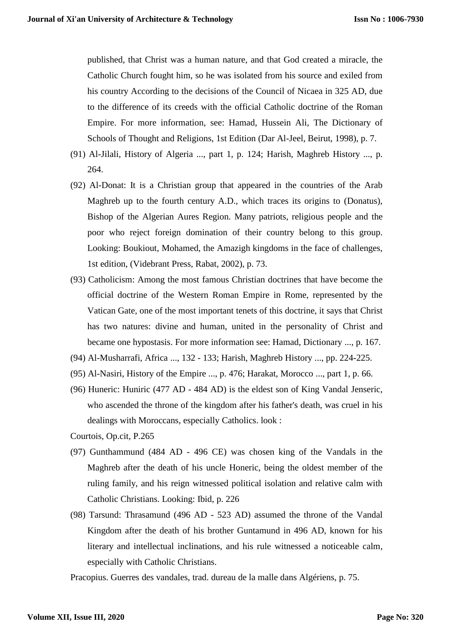published, that Christ was a human nature, and that God created a miracle, the Catholic Church fought him, so he was isolated from his source and exiled from his country According to the decisions of the Council of Nicaea in 325 AD, due to the difference of its creeds with the official Catholic doctrine of the Roman Empire. For more information, see: Hamad, Hussein Ali, The Dictionary of Schools of Thought and Religions, 1st Edition (Dar Al-Jeel, Beirut, 1998), p. 7.

- (91) Al-Jilali, History of Algeria ..., part 1, p. 124; Harish, Maghreb History ..., p. 264.
- (92) Al-Donat: It is a Christian group that appeared in the countries of the Arab Maghreb up to the fourth century A.D., which traces its origins to (Donatus), Bishop of the Algerian Aures Region. Many patriots, religious people and the poor who reject foreign domination of their country belong to this group. Looking: Boukiout, Mohamed, the Amazigh kingdoms in the face of challenges, 1st edition, (Videbrant Press, Rabat, 2002), p. 73.
- (93) Catholicism: Among the most famous Christian doctrines that have become the official doctrine of the Western Roman Empire in Rome, represented by the Vatican Gate, one of the most important tenets of this doctrine, it says that Christ has two natures: divine and human, united in the personality of Christ and became one hypostasis. For more information see: Hamad, Dictionary ..., p. 167.
- (94) Al-Musharrafi, Africa ..., 132 133; Harish, Maghreb History ..., pp. 224-225.
- (95) Al-Nasiri, History of the Empire ..., p. 476; Harakat, Morocco ..., part 1, p. 66.
- (96) Huneric: Huniric (477 AD 484 AD) is the eldest son of King Vandal Jenseric, who ascended the throne of the kingdom after his father's death, was cruel in his dealings with Moroccans, especially Catholics. look :
- Courtois, Op.cit, P.265
- (97) Gunthammund (484 AD 496 CE) was chosen king of the Vandals in the Maghreb after the death of his uncle Honeric, being the oldest member of the ruling family, and his reign witnessed political isolation and relative calm with Catholic Christians. Looking: Ibid, p. 226
- (98) Tarsund: Thrasamund (496 AD 523 AD) assumed the throne of the Vandal Kingdom after the death of his brother Guntamund in 496 AD, known for his literary and intellectual inclinations, and his rule witnessed a noticeable calm, especially with Catholic Christians.

Pracopius. Guerres des vandales, trad. dureau de la malle dans Algériens, p. 75.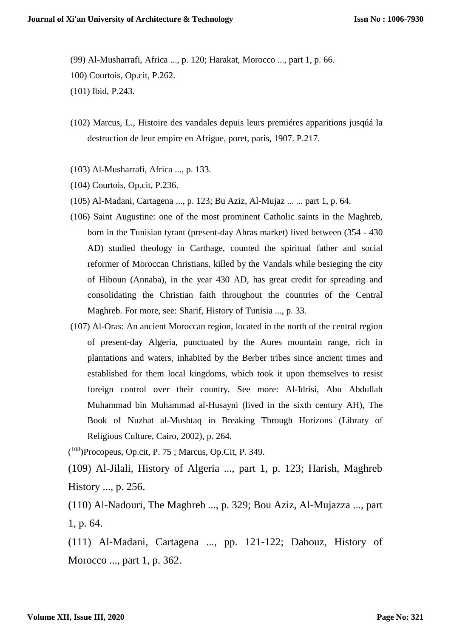(99) Al-Musharrafi, Africa ..., p. 120; Harakat, Morocco ..., part 1, p. 66.

100) Courtois, Op.cit, P.262.

(101) Ibid, P.243.

- (102) Marcus, L., Histoire des vandales depuis leurs premiéres apparitions jusqúá la destruction de leur empire en Afrigue, poret, paris, 1907. P.217.
- (103) Al-Musharrafi, Africa ..., p. 133.
- (104) Courtois, Op.cit, P.236.
- (105) Al-Madani, Cartagena ..., p. 123; Bu Aziz, Al-Mujaz ... ... part 1, p. 64.
- (106) Saint Augustine: one of the most prominent Catholic saints in the Maghreb, born in the Tunisian tyrant (present-day Ahras market) lived between (354 - 430 AD) studied theology in Carthage, counted the spiritual father and social reformer of Moroccan Christians, killed by the Vandals while besieging the city of Hiboun (Annaba), in the year 430 AD, has great credit for spreading and consolidating the Christian faith throughout the countries of the Central Maghreb. For more, see: Sharif, History of Tunisia ..., p. 33.
- (107) Al-Oras: An ancient Moroccan region, located in the north of the central region of present-day Algeria, punctuated by the Aures mountain range, rich in plantations and waters, inhabited by the Berber tribes since ancient times and established for them local kingdoms, which took it upon themselves to resist foreign control over their country. See more: Al-Idrisi, Abu Abdullah Muhammad bin Muhammad al-Husayni (lived in the sixth century AH), The Book of Nuzhat al-Mushtaq in Breaking Through Horizons (Library of Religious Culture, Cairo, 2002), p. 264.

( <sup>108</sup>)Procopeus, Op.cit, P. 75 ; Marcus, Op.Cit, P. 349.

(109) Al-Jilali, History of Algeria ..., part 1, p. 123; Harish, Maghreb History ..., p. 256.

(110) Al-Nadouri, The Maghreb ..., p. 329; Bou Aziz, Al-Mujazza ..., part 1, p. 64.

(111) Al-Madani, Cartagena ..., pp. 121-122; Dabouz, History of Morocco ..., part 1, p. 362.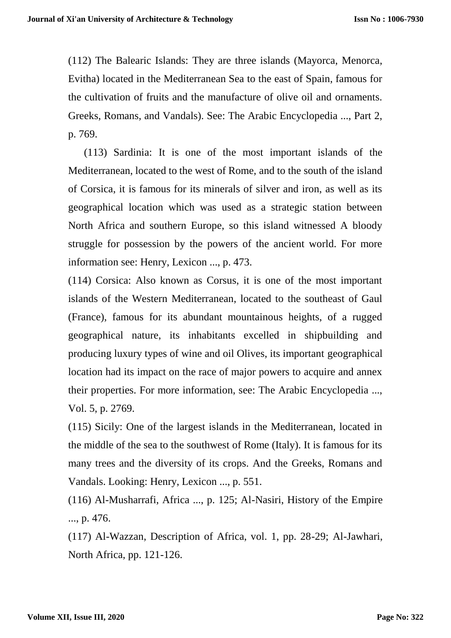(112) The Balearic Islands: They are three islands (Mayorca, Menorca, Evitha) located in the Mediterranean Sea to the east of Spain, famous for the cultivation of fruits and the manufacture of olive oil and ornaments. Greeks, Romans, and Vandals). See: The Arabic Encyclopedia ..., Part 2, p. 769.

 (113) Sardinia: It is one of the most important islands of the Mediterranean, located to the west of Rome, and to the south of the island of Corsica, it is famous for its minerals of silver and iron, as well as its geographical location which was used as a strategic station between North Africa and southern Europe, so this island witnessed A bloody struggle for possession by the powers of the ancient world. For more information see: Henry, Lexicon ..., p. 473.

(114) Corsica: Also known as Corsus, it is one of the most important islands of the Western Mediterranean, located to the southeast of Gaul (France), famous for its abundant mountainous heights, of a rugged geographical nature, its inhabitants excelled in shipbuilding and producing luxury types of wine and oil Olives, its important geographical location had its impact on the race of major powers to acquire and annex their properties. For more information, see: The Arabic Encyclopedia ..., Vol. 5, p. 2769.

(115) Sicily: One of the largest islands in the Mediterranean, located in the middle of the sea to the southwest of Rome (Italy). It is famous for its many trees and the diversity of its crops. And the Greeks, Romans and Vandals. Looking: Henry, Lexicon ..., p. 551.

(116) Al-Musharrafi, Africa ..., p. 125; Al-Nasiri, History of the Empire ..., p. 476.

(117) Al-Wazzan, Description of Africa, vol. 1, pp. 28-29; Al-Jawhari, North Africa, pp. 121-126.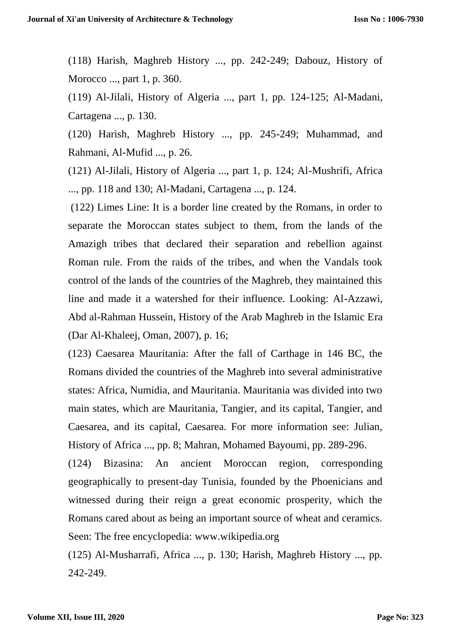(118) Harish, Maghreb History ..., pp. 242-249; Dabouz, History of Morocco ..., part 1, p. 360.

(119) Al-Jilali, History of Algeria ..., part 1, pp. 124-125; Al-Madani, Cartagena ..., p. 130.

(120) Harish, Maghreb History ..., pp. 245-249; Muhammad, and Rahmani, Al-Mufid ..., p. 26.

(121) Al-Jilali, History of Algeria ..., part 1, p. 124; Al-Mushrifi, Africa ..., pp. 118 and 130; Al-Madani, Cartagena ..., p. 124.

(122) Limes Line: It is a border line created by the Romans, in order to separate the Moroccan states subject to them, from the lands of the Amazigh tribes that declared their separation and rebellion against Roman rule. From the raids of the tribes, and when the Vandals took control of the lands of the countries of the Maghreb, they maintained this line and made it a watershed for their influence. Looking: Al-Azzawi, Abd al-Rahman Hussein, History of the Arab Maghreb in the Islamic Era (Dar Al-Khaleej, Oman, 2007), p. 16;

(123) Caesarea Mauritania: After the fall of Carthage in 146 BC, the Romans divided the countries of the Maghreb into several administrative states: Africa, Numidia, and Mauritania. Mauritania was divided into two main states, which are Mauritania, Tangier, and its capital, Tangier, and Caesarea, and its capital, Caesarea. For more information see: Julian, History of Africa ..., pp. 8; Mahran, Mohamed Bayoumi, pp. 289-296.

(124) Bizasina: An ancient Moroccan region, corresponding geographically to present-day Tunisia, founded by the Phoenicians and witnessed during their reign a great economic prosperity, which the Romans cared about as being an important source of wheat and ceramics. Seen: The free encyclopedia: www.wikipedia.org

(125) Al-Musharrafi, Africa ..., p. 130; Harish, Maghreb History ..., pp. 242-249.